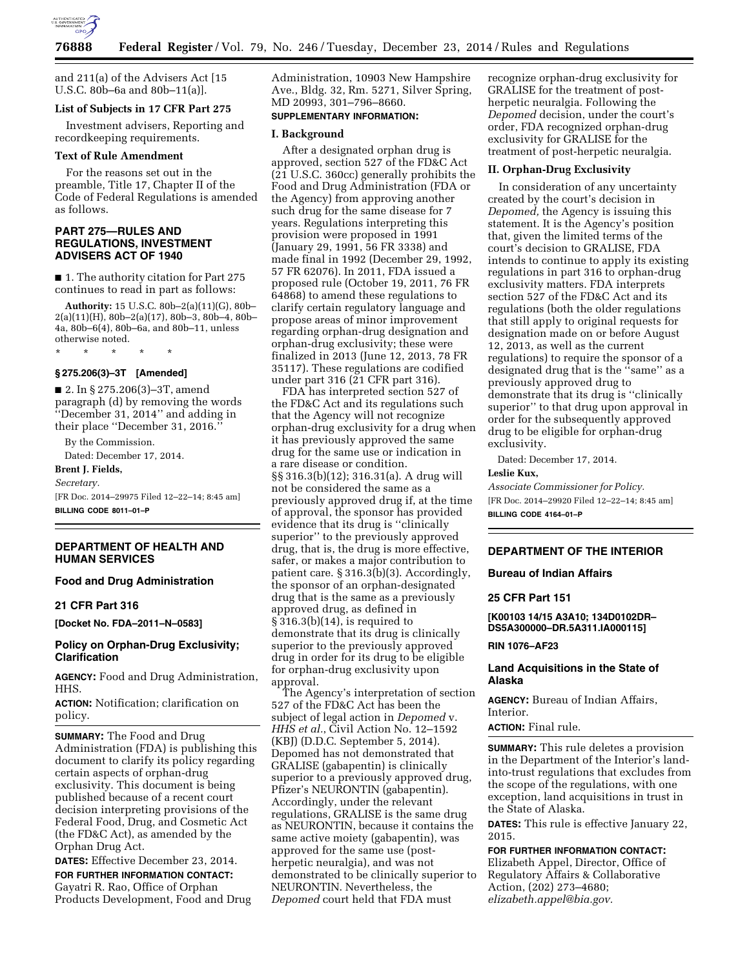

and 211(a) of the Advisers Act [15 U.S.C. 80b–6a and 80b–11(a)].

### **List of Subjects in 17 CFR Part 275**

Investment advisers, Reporting and recordkeeping requirements.

### **Text of Rule Amendment**

For the reasons set out in the preamble, Title 17, Chapter II of the Code of Federal Regulations is amended as follows.

## **PART 275—RULES AND REGULATIONS, INVESTMENT ADVISERS ACT OF 1940**

■ 1. The authority citation for Part 275 continues to read in part as follows:

**Authority:** 15 U.S.C. 80b–2(a)(11)(G), 80b–  $2(a)(11)(H)$ ,  $80b-2(a)(17)$ ,  $80b-3$ ,  $80b-4$ ,  $80b-$ 4a, 80b–6(4), 80b–6a, and 80b–11, unless otherwise noted.

\* \* \* \* \*

#### **§ 275.206(3)–3T [Amended]**

■ 2. In § 275.206(3)–3T, amend paragraph (d) by removing the words ''December 31, 2014'' and adding in their place ''December 31, 2016.''

By the Commission.

Dated: December 17, 2014.

**Brent J. Fields,**  *Secretary.* 

[FR Doc. 2014–29975 Filed 12–22–14; 8:45 am] **BILLING CODE 8011–01–P** 

**DEPARTMENT OF HEALTH AND HUMAN SERVICES** 

### **Food and Drug Administration**

### **21 CFR Part 316**

**[Docket No. FDA–2011–N–0583]** 

## **Policy on Orphan-Drug Exclusivity; Clarification**

**AGENCY:** Food and Drug Administration, HHS.

**ACTION:** Notification; clarification on policy.

**SUMMARY:** The Food and Drug Administration (FDA) is publishing this document to clarify its policy regarding certain aspects of orphan-drug exclusivity. This document is being published because of a recent court decision interpreting provisions of the Federal Food, Drug, and Cosmetic Act (the FD&C Act), as amended by the Orphan Drug Act.

**DATES:** Effective December 23, 2014.

**FOR FURTHER INFORMATION CONTACT:**  Gayatri R. Rao, Office of Orphan Products Development, Food and Drug Administration, 10903 New Hampshire Ave., Bldg. 32, Rm. 5271, Silver Spring, MD 20993, 301–796–8660.

## **SUPPLEMENTARY INFORMATION:**

### **I. Background**

After a designated orphan drug is approved, section 527 of the FD&C Act (21 U.S.C. 360cc) generally prohibits the Food and Drug Administration (FDA or the Agency) from approving another such drug for the same disease for 7 years. Regulations interpreting this provision were proposed in 1991 (January 29, 1991, 56 FR 3338) and made final in 1992 (December 29, 1992, 57 FR 62076). In 2011, FDA issued a proposed rule (October 19, 2011, 76 FR 64868) to amend these regulations to clarify certain regulatory language and propose areas of minor improvement regarding orphan-drug designation and orphan-drug exclusivity; these were finalized in 2013 (June 12, 2013, 78 FR 35117). These regulations are codified under part 316 (21 CFR part 316).

FDA has interpreted section 527 of the FD&C Act and its regulations such that the Agency will not recognize orphan-drug exclusivity for a drug when it has previously approved the same drug for the same use or indication in a rare disease or condition. §§ 316.3(b)(12); 316.31(a). A drug will not be considered the same as a previously approved drug if, at the time of approval, the sponsor has provided evidence that its drug is ''clinically superior'' to the previously approved drug, that is, the drug is more effective, safer, or makes a major contribution to patient care. § 316.3(b)(3). Accordingly, the sponsor of an orphan-designated drug that is the same as a previously approved drug, as defined in § 316.3(b)(14), is required to demonstrate that its drug is clinically superior to the previously approved drug in order for its drug to be eligible for orphan-drug exclusivity upon approval.

The Agency's interpretation of section 527 of the FD&C Act has been the subject of legal action in *Depomed* v. *HHS et al.*, Civil Action No. 12–1592 (KBJ) (D.D.C. September 5, 2014). Depomed has not demonstrated that GRALISE (gabapentin) is clinically superior to a previously approved drug, Pfizer's NEURONTIN (gabapentin). Accordingly, under the relevant regulations, GRALISE is the same drug as NEURONTIN, because it contains the same active moiety (gabapentin), was approved for the same use (postherpetic neuralgia), and was not demonstrated to be clinically superior to NEURONTIN. Nevertheless, the *Depomed* court held that FDA must

recognize orphan-drug exclusivity for GRALISE for the treatment of postherpetic neuralgia. Following the *Depomed* decision, under the court's order, FDA recognized orphan-drug exclusivity for GRALISE for the treatment of post-herpetic neuralgia.

#### **II. Orphan-Drug Exclusivity**

In consideration of any uncertainty created by the court's decision in *Depomed,* the Agency is issuing this statement. It is the Agency's position that, given the limited terms of the court's decision to GRALISE, FDA intends to continue to apply its existing regulations in part 316 to orphan-drug exclusivity matters. FDA interprets section 527 of the FD&C Act and its regulations (both the older regulations that still apply to original requests for designation made on or before August 12, 2013, as well as the current regulations) to require the sponsor of a designated drug that is the ''same'' as a previously approved drug to demonstrate that its drug is ''clinically superior'' to that drug upon approval in order for the subsequently approved drug to be eligible for orphan-drug exclusivity.

Dated: December 17, 2014.

#### **Leslie Kux,**

*Associate Commissioner for Policy.*  [FR Doc. 2014–29920 Filed 12–22–14; 8:45 am] **BILLING CODE 4164–01–P** 

## **DEPARTMENT OF THE INTERIOR**

### **Bureau of Indian Affairs**

#### **25 CFR Part 151**

**[K00103 14/15 A3A10; 134D0102DR– DS5A300000–DR.5A311.IA000115]** 

### **RIN 1076–AF23**

### **Land Acquisitions in the State of Alaska**

**AGENCY:** Bureau of Indian Affairs, Interior.

**ACTION:** Final rule.

**SUMMARY:** This rule deletes a provision in the Department of the Interior's landinto-trust regulations that excludes from the scope of the regulations, with one exception, land acquisitions in trust in the State of Alaska.

**DATES:** This rule is effective January 22, 2015.

**FOR FURTHER INFORMATION CONTACT:**  Elizabeth Appel, Director, Office of Regulatory Affairs & Collaborative Action, (202) 273–4680; *[elizabeth.appel@bia.gov.](mailto:elizabeth.appel@bia.gov)*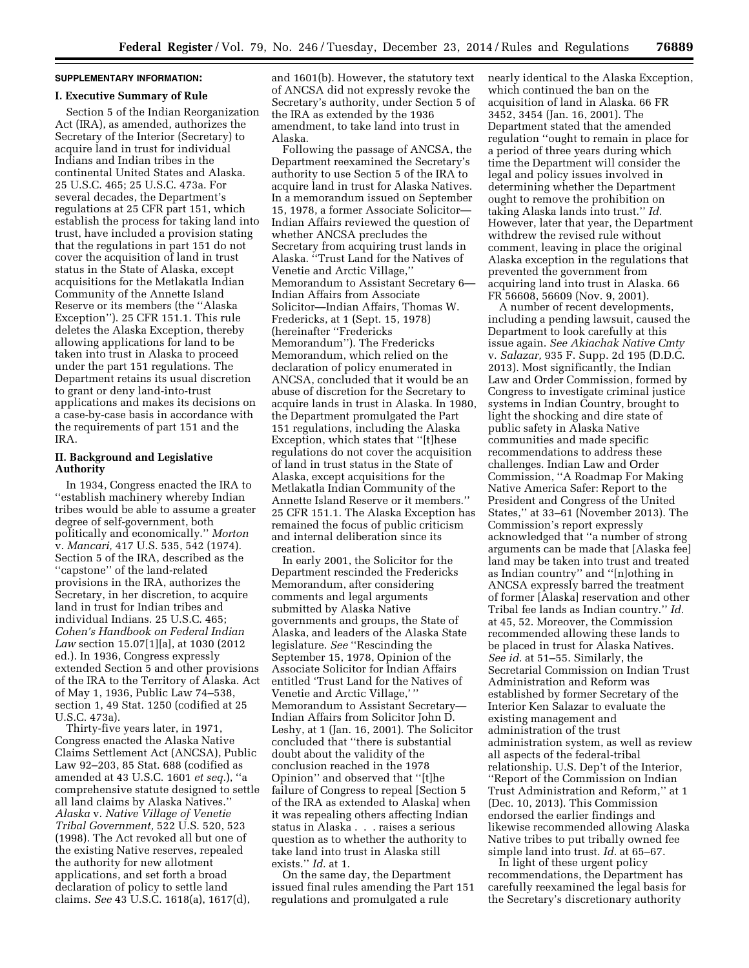## **SUPPLEMENTARY INFORMATION:**

#### **I. Executive Summary of Rule**

Section 5 of the Indian Reorganization Act (IRA), as amended, authorizes the Secretary of the Interior (Secretary) to acquire land in trust for individual Indians and Indian tribes in the continental United States and Alaska. 25 U.S.C. 465; 25 U.S.C. 473a. For several decades, the Department's regulations at 25 CFR part 151, which establish the process for taking land into trust, have included a provision stating that the regulations in part 151 do not cover the acquisition of land in trust status in the State of Alaska, except acquisitions for the Metlakatla Indian Community of the Annette Island Reserve or its members (the ''Alaska Exception''). 25 CFR 151.1. This rule deletes the Alaska Exception, thereby allowing applications for land to be taken into trust in Alaska to proceed under the part 151 regulations. The Department retains its usual discretion to grant or deny land-into-trust applications and makes its decisions on a case-by-case basis in accordance with the requirements of part 151 and the IRA.

## **II. Background and Legislative Authority**

In 1934, Congress enacted the IRA to ''establish machinery whereby Indian tribes would be able to assume a greater degree of self-government, both politically and economically.'' *Morton*  v. *Mancari,* 417 U.S. 535, 542 (1974). Section 5 of the IRA, described as the ''capstone'' of the land-related provisions in the IRA, authorizes the Secretary, in her discretion, to acquire land in trust for Indian tribes and individual Indians. 25 U.S.C. 465; *Cohen's Handbook on Federal Indian Law* section 15.07[1][a], at 1030 (2012 ed.). In 1936, Congress expressly extended Section 5 and other provisions of the IRA to the Territory of Alaska. Act of May 1, 1936, Public Law 74–538, section 1, 49 Stat. 1250 (codified at 25 U.S.C. 473a).

Thirty-five years later, in 1971, Congress enacted the Alaska Native Claims Settlement Act (ANCSA), Public Law 92–203, 85 Stat. 688 (codified as amended at 43 U.S.C. 1601 *et seq.*), ''a comprehensive statute designed to settle all land claims by Alaska Natives.'' *Alaska* v. *Native Village of Venetie Tribal Government,* 522 U.S. 520, 523 (1998). The Act revoked all but one of the existing Native reserves, repealed the authority for new allotment applications, and set forth a broad declaration of policy to settle land claims. *See* 43 U.S.C. 1618(a), 1617(d),

and 1601(b). However, the statutory text of ANCSA did not expressly revoke the Secretary's authority, under Section 5 of the IRA as extended by the 1936 amendment, to take land into trust in Alaska.

Following the passage of ANCSA, the Department reexamined the Secretary's authority to use Section 5 of the IRA to acquire land in trust for Alaska Natives. In a memorandum issued on September 15, 1978, a former Associate Solicitor— Indian Affairs reviewed the question of whether ANCSA precludes the Secretary from acquiring trust lands in Alaska. ''Trust Land for the Natives of Venetie and Arctic Village,'' Memorandum to Assistant Secretary 6— Indian Affairs from Associate Solicitor—Indian Affairs, Thomas W. Fredericks, at 1 (Sept. 15, 1978) (hereinafter ''Fredericks Memorandum''). The Fredericks Memorandum, which relied on the declaration of policy enumerated in ANCSA, concluded that it would be an abuse of discretion for the Secretary to acquire lands in trust in Alaska. In 1980, the Department promulgated the Part 151 regulations, including the Alaska Exception, which states that ''[t]hese regulations do not cover the acquisition of land in trust status in the State of Alaska, except acquisitions for the Metlakatla Indian Community of the Annette Island Reserve or it members.'' 25 CFR 151.1. The Alaska Exception has remained the focus of public criticism and internal deliberation since its creation.

In early 2001, the Solicitor for the Department rescinded the Fredericks Memorandum, after considering comments and legal arguments submitted by Alaska Native governments and groups, the State of Alaska, and leaders of the Alaska State legislature. *See* ''Rescinding the September 15, 1978, Opinion of the Associate Solicitor for Indian Affairs entitled 'Trust Land for the Natives of Venetie and Arctic Village,' '' Memorandum to Assistant Secretary— Indian Affairs from Solicitor John D. Leshy, at 1 (Jan. 16, 2001). The Solicitor concluded that ''there is substantial doubt about the validity of the conclusion reached in the 1978 Opinion'' and observed that ''[t]he failure of Congress to repeal [Section 5 of the IRA as extended to Alaska] when it was repealing others affecting Indian status in Alaska . . . raises a serious question as to whether the authority to take land into trust in Alaska still exists.'' *Id.* at 1.

On the same day, the Department issued final rules amending the Part 151 regulations and promulgated a rule

nearly identical to the Alaska Exception, which continued the ban on the acquisition of land in Alaska. 66 FR 3452, 3454 (Jan. 16, 2001). The Department stated that the amended regulation ''ought to remain in place for a period of three years during which time the Department will consider the legal and policy issues involved in determining whether the Department ought to remove the prohibition on taking Alaska lands into trust.'' *Id.*  However, later that year, the Department withdrew the revised rule without comment, leaving in place the original Alaska exception in the regulations that prevented the government from acquiring land into trust in Alaska. 66 FR 56608, 56609 (Nov. 9, 2001).

A number of recent developments, including a pending lawsuit, caused the Department to look carefully at this issue again. *See Akiachak Native Cmty*  v. *Salazar,* 935 F. Supp. 2d 195 (D.D.C. 2013). Most significantly, the Indian Law and Order Commission, formed by Congress to investigate criminal justice systems in Indian Country, brought to light the shocking and dire state of public safety in Alaska Native communities and made specific recommendations to address these challenges. Indian Law and Order Commission, ''A Roadmap For Making Native America Safer: Report to the President and Congress of the United States,'' at 33–61 (November 2013). The Commission's report expressly acknowledged that ''a number of strong arguments can be made that [Alaska fee] land may be taken into trust and treated as Indian country'' and ''[n]othing in ANCSA expressly barred the treatment of former [Alaska] reservation and other Tribal fee lands as Indian country.'' *Id.*  at 45, 52. Moreover, the Commission recommended allowing these lands to be placed in trust for Alaska Natives. *See id.* at 51–55. Similarly, the Secretarial Commission on Indian Trust Administration and Reform was established by former Secretary of the Interior Ken Salazar to evaluate the existing management and administration of the trust administration system, as well as review all aspects of the federal-tribal relationship. U.S. Dep't of the Interior, ''Report of the Commission on Indian Trust Administration and Reform,'' at 1 (Dec. 10, 2013). This Commission endorsed the earlier findings and likewise recommended allowing Alaska Native tribes to put tribally owned fee simple land into trust. *Id.* at 65–67.

In light of these urgent policy recommendations, the Department has carefully reexamined the legal basis for the Secretary's discretionary authority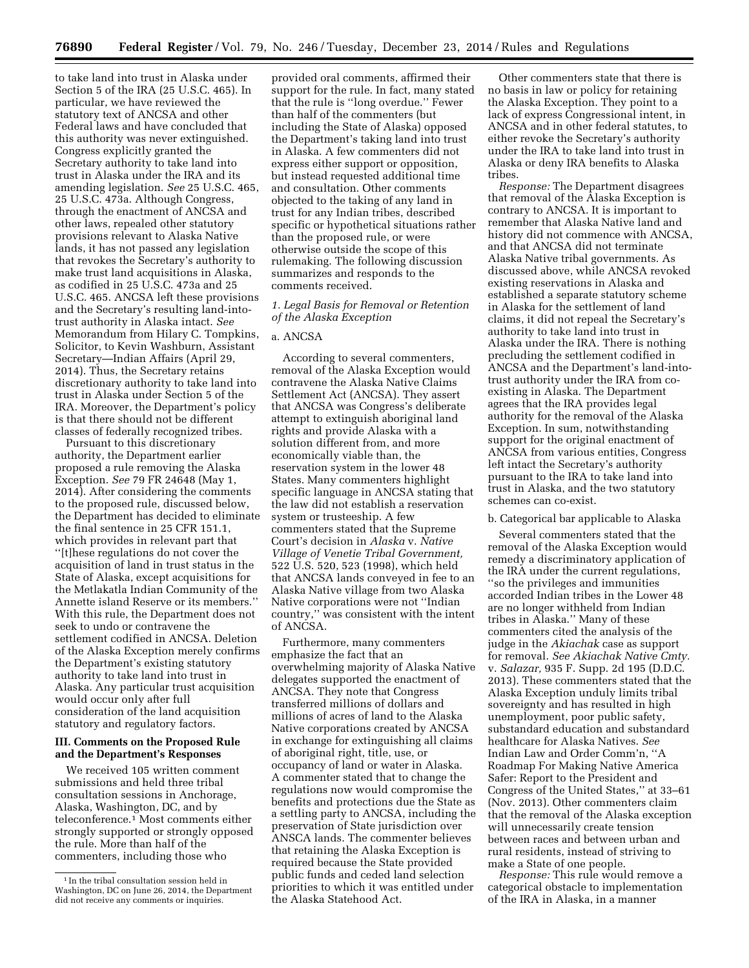to take land into trust in Alaska under Section 5 of the IRA (25 U.S.C. 465). In particular, we have reviewed the statutory text of ANCSA and other Federal laws and have concluded that this authority was never extinguished. Congress explicitly granted the Secretary authority to take land into trust in Alaska under the IRA and its amending legislation. *See* 25 U.S.C. 465, 25 U.S.C. 473a. Although Congress, through the enactment of ANCSA and other laws, repealed other statutory provisions relevant to Alaska Native lands, it has not passed any legislation that revokes the Secretary's authority to make trust land acquisitions in Alaska, as codified in 25 U.S.C. 473a and 25 U.S.C. 465. ANCSA left these provisions and the Secretary's resulting land-intotrust authority in Alaska intact. *See*  Memorandum from Hilary C. Tompkins, Solicitor, to Kevin Washburn, Assistant Secretary—Indian Affairs (April 29, 2014). Thus, the Secretary retains discretionary authority to take land into trust in Alaska under Section 5 of the IRA. Moreover, the Department's policy is that there should not be different classes of federally recognized tribes.

Pursuant to this discretionary authority, the Department earlier proposed a rule removing the Alaska Exception. *See* 79 FR 24648 (May 1, 2014). After considering the comments to the proposed rule, discussed below, the Department has decided to eliminate the final sentence in 25 CFR 151.1, which provides in relevant part that ''[t]hese regulations do not cover the acquisition of land in trust status in the State of Alaska, except acquisitions for the Metlakatla Indian Community of the Annette island Reserve or its members.'' With this rule, the Department does not seek to undo or contravene the settlement codified in ANCSA. Deletion of the Alaska Exception merely confirms the Department's existing statutory authority to take land into trust in Alaska. Any particular trust acquisition would occur only after full consideration of the land acquisition statutory and regulatory factors.

### **III. Comments on the Proposed Rule and the Department's Responses**

We received 105 written comment submissions and held three tribal consultation sessions in Anchorage, Alaska, Washington, DC, and by teleconference.1 Most comments either strongly supported or strongly opposed the rule. More than half of the commenters, including those who

provided oral comments, affirmed their support for the rule. In fact, many stated that the rule is ''long overdue.'' Fewer than half of the commenters (but including the State of Alaska) opposed the Department's taking land into trust in Alaska. A few commenters did not express either support or opposition, but instead requested additional time and consultation. Other comments objected to the taking of any land in trust for any Indian tribes, described specific or hypothetical situations rather than the proposed rule, or were otherwise outside the scope of this rulemaking. The following discussion summarizes and responds to the comments received.

### *1. Legal Basis for Removal or Retention of the Alaska Exception*

## a. ANCSA

According to several commenters, removal of the Alaska Exception would contravene the Alaska Native Claims Settlement Act (ANCSA). They assert that ANCSA was Congress's deliberate attempt to extinguish aboriginal land rights and provide Alaska with a solution different from, and more economically viable than, the reservation system in the lower 48 States. Many commenters highlight specific language in ANCSA stating that the law did not establish a reservation system or trusteeship. A few commenters stated that the Supreme Court's decision in *Alaska* v. *Native Village of Venetie Tribal Government,*  522 U.S. 520, 523 (1998), which held that ANCSA lands conveyed in fee to an Alaska Native village from two Alaska Native corporations were not ''Indian country,'' was consistent with the intent of ANCSA.

Furthermore, many commenters emphasize the fact that an overwhelming majority of Alaska Native delegates supported the enactment of ANCSA. They note that Congress transferred millions of dollars and millions of acres of land to the Alaska Native corporations created by ANCSA in exchange for extinguishing all claims of aboriginal right, title, use, or occupancy of land or water in Alaska. A commenter stated that to change the regulations now would compromise the benefits and protections due the State as a settling party to ANCSA, including the preservation of State jurisdiction over ANSCA lands. The commenter believes that retaining the Alaska Exception is required because the State provided public funds and ceded land selection priorities to which it was entitled under the Alaska Statehood Act.

Other commenters state that there is no basis in law or policy for retaining the Alaska Exception. They point to a lack of express Congressional intent, in ANCSA and in other federal statutes, to either revoke the Secretary's authority under the IRA to take land into trust in Alaska or deny IRA benefits to Alaska tribes.

*Response:* The Department disagrees that removal of the Alaska Exception is contrary to ANCSA. It is important to remember that Alaska Native land and history did not commence with ANCSA, and that ANCSA did not terminate Alaska Native tribal governments. As discussed above, while ANCSA revoked existing reservations in Alaska and established a separate statutory scheme in Alaska for the settlement of land claims, it did not repeal the Secretary's authority to take land into trust in Alaska under the IRA. There is nothing precluding the settlement codified in ANCSA and the Department's land-intotrust authority under the IRA from coexisting in Alaska. The Department agrees that the IRA provides legal authority for the removal of the Alaska Exception. In sum, notwithstanding support for the original enactment of ANCSA from various entities, Congress left intact the Secretary's authority pursuant to the IRA to take land into trust in Alaska, and the two statutory schemes can co-exist.

## b. Categorical bar applicable to Alaska

Several commenters stated that the removal of the Alaska Exception would remedy a discriminatory application of the IRA under the current regulations, ''so the privileges and immunities accorded Indian tribes in the Lower 48 are no longer withheld from Indian tribes in Alaska.'' Many of these commenters cited the analysis of the judge in the *Akiachak* case as support for removal. *See Akiachak Native Cmty.*  v. *Salazar,* 935 F. Supp. 2d 195 (D.D.C. 2013). These commenters stated that the Alaska Exception unduly limits tribal sovereignty and has resulted in high unemployment, poor public safety, substandard education and substandard healthcare for Alaska Natives. *See*  Indian Law and Order Comm'n, ''A Roadmap For Making Native America Safer: Report to the President and Congress of the United States,'' at 33–61 (Nov. 2013). Other commenters claim that the removal of the Alaska exception will unnecessarily create tension between races and between urban and rural residents, instead of striving to make a State of one people.

*Response:* This rule would remove a categorical obstacle to implementation of the IRA in Alaska, in a manner

 $^{\rm 1}$  In the tribal consultation session held in Washington, DC on June 26, 2014, the Department did not receive any comments or inquiries.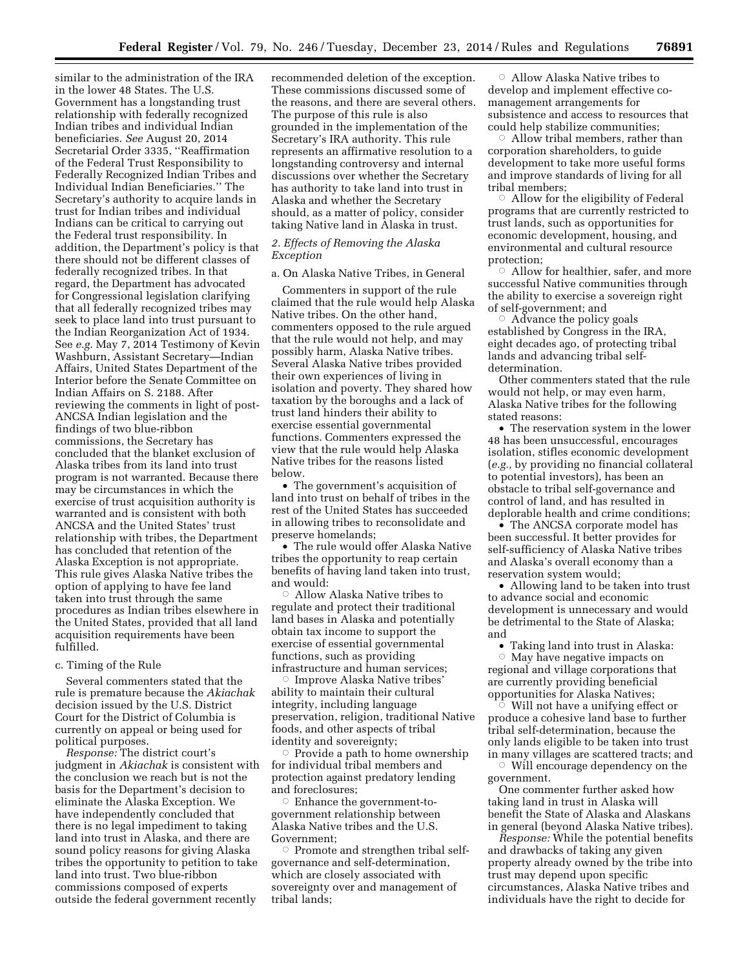similar to the administration of the IRA in the lower 48 States. The U.S. Government has a longstanding trust relationship with federally recognized Indian tribes and individual Indian beneficiaries. *See* August 20, 2014 Secretarial Order 3335, ''Reaffirmation of the Federal Trust Responsibility to Federally Recognized Indian Tribes and Individual Indian Beneficiaries.'' The Secretary's authority to acquire lands in trust for Indian tribes and individual Indians can be critical to carrying out the Federal trust responsibility. In addition, the Department's policy is that there should not be different classes of federally recognized tribes. In that regard, the Department has advocated for Congressional legislation clarifying that all federally recognized tribes may seek to place land into trust pursuant to the Indian Reorganization Act of 1934. See *e.g.* May 7, 2014 Testimony of Kevin Washburn, Assistant Secretary—Indian Affairs, United States Department of the Interior before the Senate Committee on Indian Affairs on S. 2188. After reviewing the comments in light of post-ANCSA Indian legislation and the findings of two blue-ribbon commissions, the Secretary has concluded that the blanket exclusion of Alaska tribes from its land into trust program is not warranted. Because there may be circumstances in which the exercise of trust acquisition authority is warranted and is consistent with both ANCSA and the United States' trust relationship with tribes, the Department has concluded that retention of the Alaska Exception is not appropriate. This rule gives Alaska Native tribes the option of applying to have fee land taken into trust through the same procedures as Indian tribes elsewhere in the United States, provided that all land acquisition requirements have been fulfilled.

#### c. Timing of the Rule

Several commenters stated that the rule is premature because the *Akiachak*  decision issued by the U.S. District Court for the District of Columbia is currently on appeal or being used for political purposes.

*Response:* The district court's judgment in *Akiachak* is consistent with the conclusion we reach but is not the basis for the Department's decision to eliminate the Alaska Exception. We have independently concluded that there is no legal impediment to taking land into trust in Alaska, and there are sound policy reasons for giving Alaska tribes the opportunity to petition to take land into trust. Two blue-ribbon commissions composed of experts outside the federal government recently

recommended deletion of the exception. These commissions discussed some of the reasons, and there are several others. The purpose of this rule is also grounded in the implementation of the Secretary's IRA authority. This rule represents an affirmative resolution to a longstanding controversy and internal discussions over whether the Secretary has authority to take land into trust in Alaska and whether the Secretary should, as a matter of policy, consider taking Native land in Alaska in trust.

### *2. Effects of Removing the Alaska Exception*

a. On Alaska Native Tribes, in General

Commenters in support of the rule claimed that the rule would help Alaska Native tribes. On the other hand, commenters opposed to the rule argued that the rule would not help, and may possibly harm, Alaska Native tribes. Several Alaska Native tribes provided their own experiences of living in isolation and poverty. They shared how taxation by the boroughs and a lack of trust land hinders their ability to exercise essential governmental functions. Commenters expressed the view that the rule would help Alaska Native tribes for the reasons listed below.

• The government's acquisition of land into trust on behalf of tribes in the rest of the United States has succeeded in allowing tribes to reconsolidate and preserve homelands;

• The rule would offer Alaska Native tribes the opportunity to reap certain benefits of having land taken into trust, and would:

 $\circ$  Allow Alaska Native tribes to regulate and protect their traditional land bases in Alaska and potentially obtain tax income to support the exercise of essential governmental functions, such as providing infrastructure and human services;

 $\circ~$  Improve Alaska Native tribes $\check{~}$ ability to maintain their cultural integrity, including language preservation, religion, traditional Native foods, and other aspects of tribal identity and sovereignty;

 $\circ$  Provide a path to home ownership for individual tribal members and protection against predatory lending and foreclosures;

Æ Enhance the government-togovernment relationship between Alaska Native tribes and the U.S. Government;

 $\circ$  Promote and strengthen tribal selfgovernance and self-determination, which are closely associated with sovereignty over and management of tribal lands;

 $\circ$  Allow Alaska Native tribes to develop and implement effective comanagement arrangements for subsistence and access to resources that could help stabilize communities;

 $\circ$  Allow tribal members, rather than corporation shareholders, to guide development to take more useful forms and improve standards of living for all tribal members;

 $\circ$  Allow for the eligibility of Federal programs that are currently restricted to trust lands, such as opportunities for economic development, housing, and environmental and cultural resource protection;

 $\circ$  Allow for healthier, safer, and more successful Native communities through the ability to exercise a sovereign right of self-government; and

 $\circ$  Advance the policy goals established by Congress in the IRA, eight decades ago, of protecting tribal lands and advancing tribal selfdetermination.

Other commenters stated that the rule would not help, or may even harm, Alaska Native tribes for the following stated reasons:

• The reservation system in the lower 48 has been unsuccessful, encourages isolation, stifles economic development (*e.g.,* by providing no financial collateral to potential investors), has been an obstacle to tribal self-governance and control of land, and has resulted in deplorable health and crime conditions;

• The ANCSA corporate model has been successful. It better provides for self-sufficiency of Alaska Native tribes and Alaska's overall economy than a reservation system would;

• Allowing land to be taken into trust to advance social and economic development is unnecessary and would be detrimental to the State of Alaska; and

• Taking land into trust in Alaska:  $\circ$  May have negative impacts on regional and village corporations that are currently providing beneficial opportunities for Alaska Natives;

 $\stackrel{\scriptscriptstyle \bullet}{\circ}$  Will not have a unifying effect or produce a cohesive land base to further tribal self-determination, because the only lands eligible to be taken into trust in many villages are scattered tracts; and

 $\circ$  Will encourage dependency on the government.

One commenter further asked how taking land in trust in Alaska will benefit the State of Alaska and Alaskans in general (beyond Alaska Native tribes).

*Response:* While the potential benefits and drawbacks of taking any given property already owned by the tribe into trust may depend upon specific circumstances, Alaska Native tribes and individuals have the right to decide for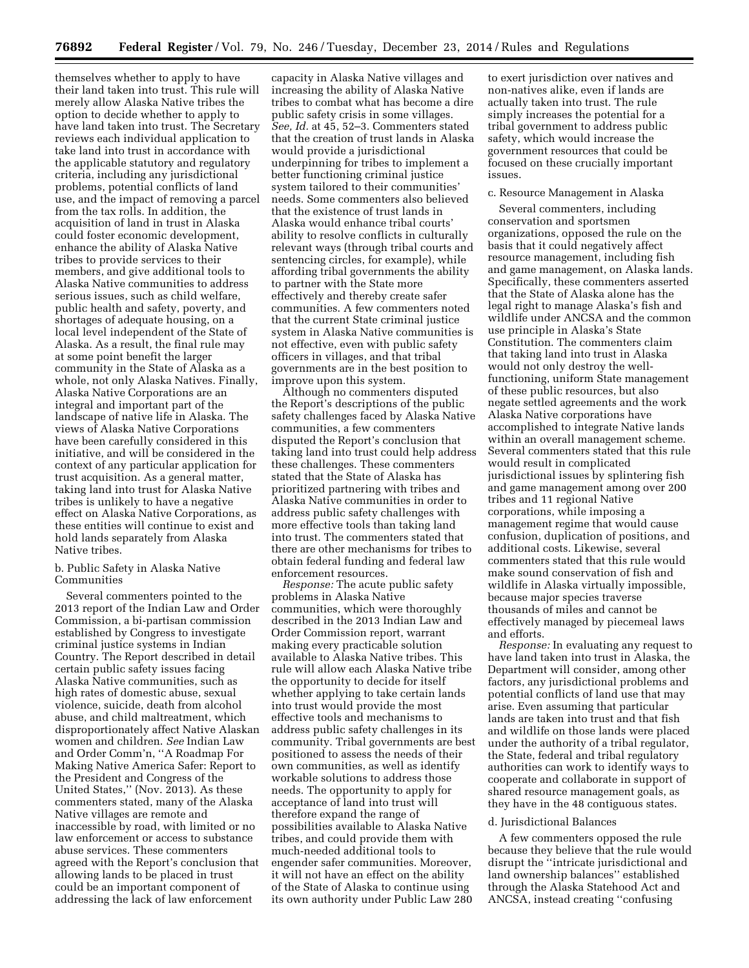themselves whether to apply to have their land taken into trust. This rule will merely allow Alaska Native tribes the option to decide whether to apply to have land taken into trust. The Secretary reviews each individual application to take land into trust in accordance with the applicable statutory and regulatory criteria, including any jurisdictional problems, potential conflicts of land use, and the impact of removing a parcel from the tax rolls. In addition, the acquisition of land in trust in Alaska could foster economic development, enhance the ability of Alaska Native tribes to provide services to their members, and give additional tools to Alaska Native communities to address serious issues, such as child welfare, public health and safety, poverty, and shortages of adequate housing, on a local level independent of the State of Alaska. As a result, the final rule may at some point benefit the larger community in the State of Alaska as a whole, not only Alaska Natives. Finally, Alaska Native Corporations are an integral and important part of the landscape of native life in Alaska. The views of Alaska Native Corporations have been carefully considered in this initiative, and will be considered in the context of any particular application for trust acquisition. As a general matter, taking land into trust for Alaska Native tribes is unlikely to have a negative effect on Alaska Native Corporations, as these entities will continue to exist and hold lands separately from Alaska Native tribes.

### b. Public Safety in Alaska Native Communities

Several commenters pointed to the 2013 report of the Indian Law and Order Commission, a bi-partisan commission established by Congress to investigate criminal justice systems in Indian Country. The Report described in detail certain public safety issues facing Alaska Native communities, such as high rates of domestic abuse, sexual violence, suicide, death from alcohol abuse, and child maltreatment, which disproportionately affect Native Alaskan women and children. *See* Indian Law and Order Comm'n, ''A Roadmap For Making Native America Safer: Report to the President and Congress of the United States,'' (Nov. 2013). As these commenters stated, many of the Alaska Native villages are remote and inaccessible by road, with limited or no law enforcement or access to substance abuse services. These commenters agreed with the Report's conclusion that allowing lands to be placed in trust could be an important component of addressing the lack of law enforcement

capacity in Alaska Native villages and increasing the ability of Alaska Native tribes to combat what has become a dire public safety crisis in some villages. *See, Id.* at 45, 52–3. Commenters stated that the creation of trust lands in Alaska would provide a jurisdictional underpinning for tribes to implement a better functioning criminal justice system tailored to their communities' needs. Some commenters also believed that the existence of trust lands in Alaska would enhance tribal courts' ability to resolve conflicts in culturally relevant ways (through tribal courts and sentencing circles, for example), while affording tribal governments the ability to partner with the State more effectively and thereby create safer communities. A few commenters noted that the current State criminal justice system in Alaska Native communities is not effective, even with public safety officers in villages, and that tribal governments are in the best position to improve upon this system.

Although no commenters disputed the Report's descriptions of the public safety challenges faced by Alaska Native communities, a few commenters disputed the Report's conclusion that taking land into trust could help address these challenges. These commenters stated that the State of Alaska has prioritized partnering with tribes and Alaska Native communities in order to address public safety challenges with more effective tools than taking land into trust. The commenters stated that there are other mechanisms for tribes to obtain federal funding and federal law enforcement resources.

*Response:* The acute public safety problems in Alaska Native communities, which were thoroughly described in the 2013 Indian Law and Order Commission report, warrant making every practicable solution available to Alaska Native tribes. This rule will allow each Alaska Native tribe the opportunity to decide for itself whether applying to take certain lands into trust would provide the most effective tools and mechanisms to address public safety challenges in its community. Tribal governments are best positioned to assess the needs of their own communities, as well as identify workable solutions to address those needs. The opportunity to apply for acceptance of land into trust will therefore expand the range of possibilities available to Alaska Native tribes, and could provide them with much-needed additional tools to engender safer communities. Moreover, it will not have an effect on the ability of the State of Alaska to continue using its own authority under Public Law 280

to exert jurisdiction over natives and non-natives alike, even if lands are actually taken into trust. The rule simply increases the potential for a tribal government to address public safety, which would increase the government resources that could be focused on these crucially important issues.

### c. Resource Management in Alaska

Several commenters, including conservation and sportsmen organizations, opposed the rule on the basis that it could negatively affect resource management, including fish and game management, on Alaska lands. Specifically, these commenters asserted that the State of Alaska alone has the legal right to manage Alaska's fish and wildlife under ANCSA and the common use principle in Alaska's State Constitution. The commenters claim that taking land into trust in Alaska would not only destroy the wellfunctioning, uniform State management of these public resources, but also negate settled agreements and the work Alaska Native corporations have accomplished to integrate Native lands within an overall management scheme. Several commenters stated that this rule would result in complicated jurisdictional issues by splintering fish and game management among over 200 tribes and 11 regional Native corporations, while imposing a management regime that would cause confusion, duplication of positions, and additional costs. Likewise, several commenters stated that this rule would make sound conservation of fish and wildlife in Alaska virtually impossible, because major species traverse thousands of miles and cannot be effectively managed by piecemeal laws and efforts.

*Response:* In evaluating any request to have land taken into trust in Alaska, the Department will consider, among other factors, any jurisdictional problems and potential conflicts of land use that may arise. Even assuming that particular lands are taken into trust and that fish and wildlife on those lands were placed under the authority of a tribal regulator, the State, federal and tribal regulatory authorities can work to identify ways to cooperate and collaborate in support of shared resource management goals, as they have in the 48 contiguous states.

#### d. Jurisdictional Balances

A few commenters opposed the rule because they believe that the rule would disrupt the ''intricate jurisdictional and land ownership balances'' established through the Alaska Statehood Act and ANCSA, instead creating ''confusing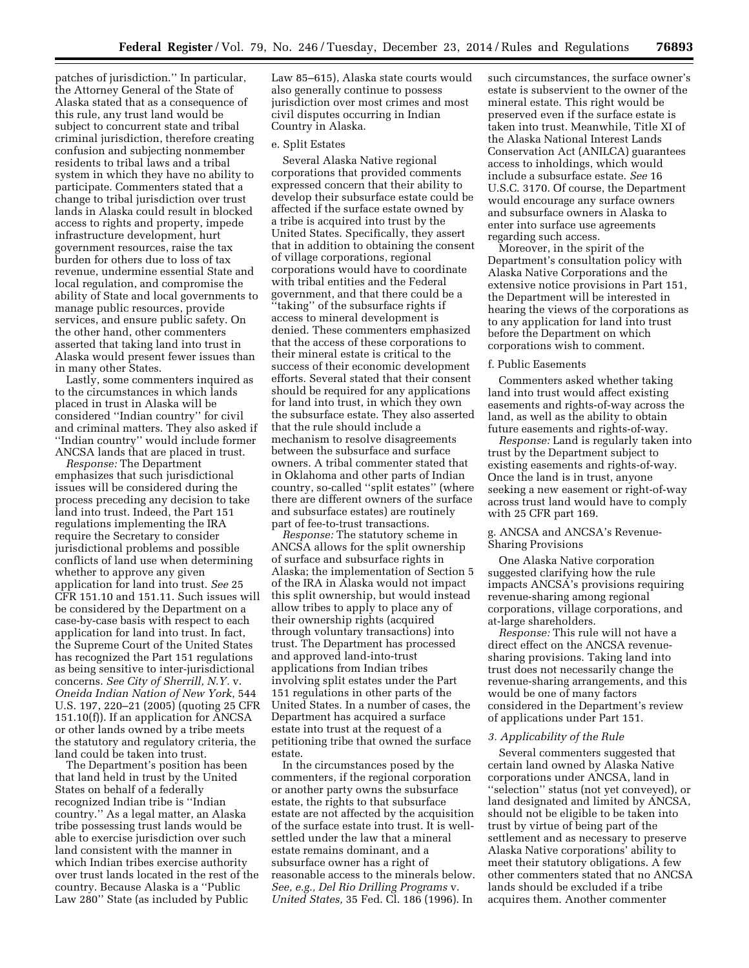patches of jurisdiction.'' In particular, the Attorney General of the State of Alaska stated that as a consequence of this rule, any trust land would be subject to concurrent state and tribal criminal jurisdiction, therefore creating confusion and subjecting nonmember residents to tribal laws and a tribal system in which they have no ability to participate. Commenters stated that a change to tribal jurisdiction over trust lands in Alaska could result in blocked access to rights and property, impede infrastructure development, hurt government resources, raise the tax burden for others due to loss of tax revenue, undermine essential State and local regulation, and compromise the ability of State and local governments to manage public resources, provide services, and ensure public safety. On the other hand, other commenters asserted that taking land into trust in Alaska would present fewer issues than in many other States.

Lastly, some commenters inquired as to the circumstances in which lands placed in trust in Alaska will be considered ''Indian country'' for civil and criminal matters. They also asked if ''Indian country'' would include former ANCSA lands that are placed in trust.

*Response:* The Department emphasizes that such jurisdictional issues will be considered during the process preceding any decision to take land into trust. Indeed, the Part 151 regulations implementing the IRA require the Secretary to consider jurisdictional problems and possible conflicts of land use when determining whether to approve any given application for land into trust. *See* 25 CFR 151.10 and 151.11. Such issues will be considered by the Department on a case-by-case basis with respect to each application for land into trust. In fact, the Supreme Court of the United States has recognized the Part 151 regulations as being sensitive to inter-jurisdictional concerns. *See City of Sherrill, N.Y.* v. *Oneida Indian Nation of New York,* 544 U.S. 197, 220–21 (2005) (quoting 25 CFR 151.10(f)). If an application for ANCSA or other lands owned by a tribe meets the statutory and regulatory criteria, the land could be taken into trust.

The Department's position has been that land held in trust by the United States on behalf of a federally recognized Indian tribe is ''Indian country.'' As a legal matter, an Alaska tribe possessing trust lands would be able to exercise jurisdiction over such land consistent with the manner in which Indian tribes exercise authority over trust lands located in the rest of the country. Because Alaska is a ''Public Law 280'' State (as included by Public

Law 85–615), Alaska state courts would also generally continue to possess jurisdiction over most crimes and most civil disputes occurring in Indian Country in Alaska.

### e. Split Estates

Several Alaska Native regional corporations that provided comments expressed concern that their ability to develop their subsurface estate could be affected if the surface estate owned by a tribe is acquired into trust by the United States. Specifically, they assert that in addition to obtaining the consent of village corporations, regional corporations would have to coordinate with tribal entities and the Federal government, and that there could be a ''taking'' of the subsurface rights if access to mineral development is denied. These commenters emphasized that the access of these corporations to their mineral estate is critical to the success of their economic development efforts. Several stated that their consent should be required for any applications for land into trust, in which they own the subsurface estate. They also asserted that the rule should include a mechanism to resolve disagreements between the subsurface and surface owners. A tribal commenter stated that in Oklahoma and other parts of Indian country, so-called ''split estates'' (where there are different owners of the surface and subsurface estates) are routinely part of fee-to-trust transactions.

*Response:* The statutory scheme in ANCSA allows for the split ownership of surface and subsurface rights in Alaska; the implementation of Section 5 of the IRA in Alaska would not impact this split ownership, but would instead allow tribes to apply to place any of their ownership rights (acquired through voluntary transactions) into trust. The Department has processed and approved land-into-trust applications from Indian tribes involving split estates under the Part 151 regulations in other parts of the United States. In a number of cases, the Department has acquired a surface estate into trust at the request of a petitioning tribe that owned the surface estate.

In the circumstances posed by the commenters, if the regional corporation or another party owns the subsurface estate, the rights to that subsurface estate are not affected by the acquisition of the surface estate into trust. It is wellsettled under the law that a mineral estate remains dominant, and a subsurface owner has a right of reasonable access to the minerals below. *See, e.g., Del Rio Drilling Programs* v. *United States,* 35 Fed. Cl. 186 (1996). In

such circumstances, the surface owner's estate is subservient to the owner of the mineral estate. This right would be preserved even if the surface estate is taken into trust. Meanwhile, Title XI of the Alaska National Interest Lands Conservation Act (ANILCA) guarantees access to inholdings, which would include a subsurface estate. *See* 16 U.S.C. 3170. Of course, the Department would encourage any surface owners and subsurface owners in Alaska to enter into surface use agreements regarding such access.

Moreover, in the spirit of the Department's consultation policy with Alaska Native Corporations and the extensive notice provisions in Part 151, the Department will be interested in hearing the views of the corporations as to any application for land into trust before the Department on which corporations wish to comment.

### f. Public Easements

Commenters asked whether taking land into trust would affect existing easements and rights-of-way across the land, as well as the ability to obtain future easements and rights-of-way.

*Response:* Land is regularly taken into trust by the Department subject to existing easements and rights-of-way. Once the land is in trust, anyone seeking a new easement or right-of-way across trust land would have to comply with 25 CFR part 169.

g. ANCSA and ANCSA's Revenue-Sharing Provisions

One Alaska Native corporation suggested clarifying how the rule impacts ANCSA's provisions requiring revenue-sharing among regional corporations, village corporations, and at-large shareholders.

*Response:* This rule will not have a direct effect on the ANCSA revenuesharing provisions. Taking land into trust does not necessarily change the revenue-sharing arrangements, and this would be one of many factors considered in the Department's review of applications under Part 151.

### *3. Applicability of the Rule*

Several commenters suggested that certain land owned by Alaska Native corporations under ANCSA, land in ''selection'' status (not yet conveyed), or land designated and limited by ANCSA, should not be eligible to be taken into trust by virtue of being part of the settlement and as necessary to preserve Alaska Native corporations' ability to meet their statutory obligations. A few other commenters stated that no ANCSA lands should be excluded if a tribe acquires them. Another commenter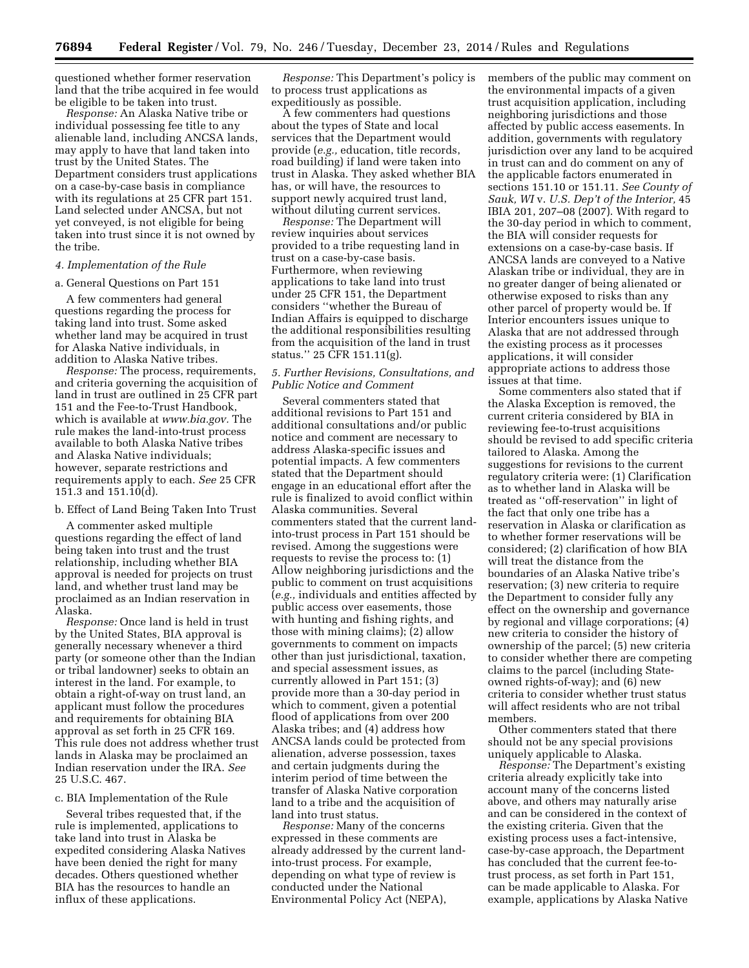questioned whether former reservation land that the tribe acquired in fee would be eligible to be taken into trust.

*Response:* An Alaska Native tribe or individual possessing fee title to any alienable land, including ANCSA lands, may apply to have that land taken into trust by the United States. The Department considers trust applications on a case-by-case basis in compliance with its regulations at 25 CFR part 151. Land selected under ANCSA, but not yet conveyed, is not eligible for being taken into trust since it is not owned by the tribe.

## *4. Implementation of the Rule*

#### a. General Questions on Part 151

A few commenters had general questions regarding the process for taking land into trust. Some asked whether land may be acquired in trust for Alaska Native individuals, in addition to Alaska Native tribes.

*Response:* The process, requirements, and criteria governing the acquisition of land in trust are outlined in 25 CFR part 151 and the Fee-to-Trust Handbook, which is available at *[www.bia.gov.](http://www.bia.gov)* The rule makes the land-into-trust process available to both Alaska Native tribes and Alaska Native individuals; however, separate restrictions and requirements apply to each. *See* 25 CFR 151.3 and 151.10(d).

b. Effect of Land Being Taken Into Trust

A commenter asked multiple questions regarding the effect of land being taken into trust and the trust relationship, including whether BIA approval is needed for projects on trust land, and whether trust land may be proclaimed as an Indian reservation in Alaska.

*Response:* Once land is held in trust by the United States, BIA approval is generally necessary whenever a third party (or someone other than the Indian or tribal landowner) seeks to obtain an interest in the land. For example, to obtain a right-of-way on trust land, an applicant must follow the procedures and requirements for obtaining BIA approval as set forth in 25 CFR 169. This rule does not address whether trust lands in Alaska may be proclaimed an Indian reservation under the IRA. *See*  25 U.S.C. 467.

c. BIA Implementation of the Rule

Several tribes requested that, if the rule is implemented, applications to take land into trust in Alaska be expedited considering Alaska Natives have been denied the right for many decades. Others questioned whether BIA has the resources to handle an influx of these applications.

*Response:* This Department's policy is to process trust applications as expeditiously as possible.

A few commenters had questions about the types of State and local services that the Department would provide (*e.g.,* education, title records, road building) if land were taken into trust in Alaska. They asked whether BIA has, or will have, the resources to support newly acquired trust land, without diluting current services.

*Response:* The Department will review inquiries about services provided to a tribe requesting land in trust on a case-by-case basis. Furthermore, when reviewing applications to take land into trust under 25 CFR 151, the Department considers ''whether the Bureau of Indian Affairs is equipped to discharge the additional responsibilities resulting from the acquisition of the land in trust status.'' 25 CFR 151.11(g).

### *5. Further Revisions, Consultations, and Public Notice and Comment*

Several commenters stated that additional revisions to Part 151 and additional consultations and/or public notice and comment are necessary to address Alaska-specific issues and potential impacts. A few commenters stated that the Department should engage in an educational effort after the rule is finalized to avoid conflict within Alaska communities. Several commenters stated that the current landinto-trust process in Part 151 should be revised. Among the suggestions were requests to revise the process to: (1) Allow neighboring jurisdictions and the public to comment on trust acquisitions (*e.g.,* individuals and entities affected by public access over easements, those with hunting and fishing rights, and those with mining claims); (2) allow governments to comment on impacts other than just jurisdictional, taxation, and special assessment issues, as currently allowed in Part 151; (3) provide more than a 30-day period in which to comment, given a potential flood of applications from over 200 Alaska tribes; and (4) address how ANCSA lands could be protected from alienation, adverse possession, taxes and certain judgments during the interim period of time between the transfer of Alaska Native corporation land to a tribe and the acquisition of land into trust status.

*Response:* Many of the concerns expressed in these comments are already addressed by the current landinto-trust process. For example, depending on what type of review is conducted under the National Environmental Policy Act (NEPA),

members of the public may comment on the environmental impacts of a given trust acquisition application, including neighboring jurisdictions and those affected by public access easements. In addition, governments with regulatory jurisdiction over any land to be acquired in trust can and do comment on any of the applicable factors enumerated in sections 151.10 or 151.11. *See County of Sauk, WI* v. *U.S. Dep't of the Interior,* 45 IBIA 201, 207–08 (2007). With regard to the 30-day period in which to comment, the BIA will consider requests for extensions on a case-by-case basis. If ANCSA lands are conveyed to a Native Alaskan tribe or individual, they are in no greater danger of being alienated or otherwise exposed to risks than any other parcel of property would be. If Interior encounters issues unique to Alaska that are not addressed through the existing process as it processes applications, it will consider appropriate actions to address those issues at that time.

Some commenters also stated that if the Alaska Exception is removed, the current criteria considered by BIA in reviewing fee-to-trust acquisitions should be revised to add specific criteria tailored to Alaska. Among the suggestions for revisions to the current regulatory criteria were: (1) Clarification as to whether land in Alaska will be treated as ''off-reservation'' in light of the fact that only one tribe has a reservation in Alaska or clarification as to whether former reservations will be considered; (2) clarification of how BIA will treat the distance from the boundaries of an Alaska Native tribe's reservation; (3) new criteria to require the Department to consider fully any effect on the ownership and governance by regional and village corporations; (4) new criteria to consider the history of ownership of the parcel; (5) new criteria to consider whether there are competing claims to the parcel (including Stateowned rights-of-way); and (6) new criteria to consider whether trust status will affect residents who are not tribal members.

Other commenters stated that there should not be any special provisions uniquely applicable to Alaska.

*Response:* The Department's existing criteria already explicitly take into account many of the concerns listed above, and others may naturally arise and can be considered in the context of the existing criteria. Given that the existing process uses a fact-intensive, case-by-case approach, the Department has concluded that the current fee-totrust process, as set forth in Part 151, can be made applicable to Alaska. For example, applications by Alaska Native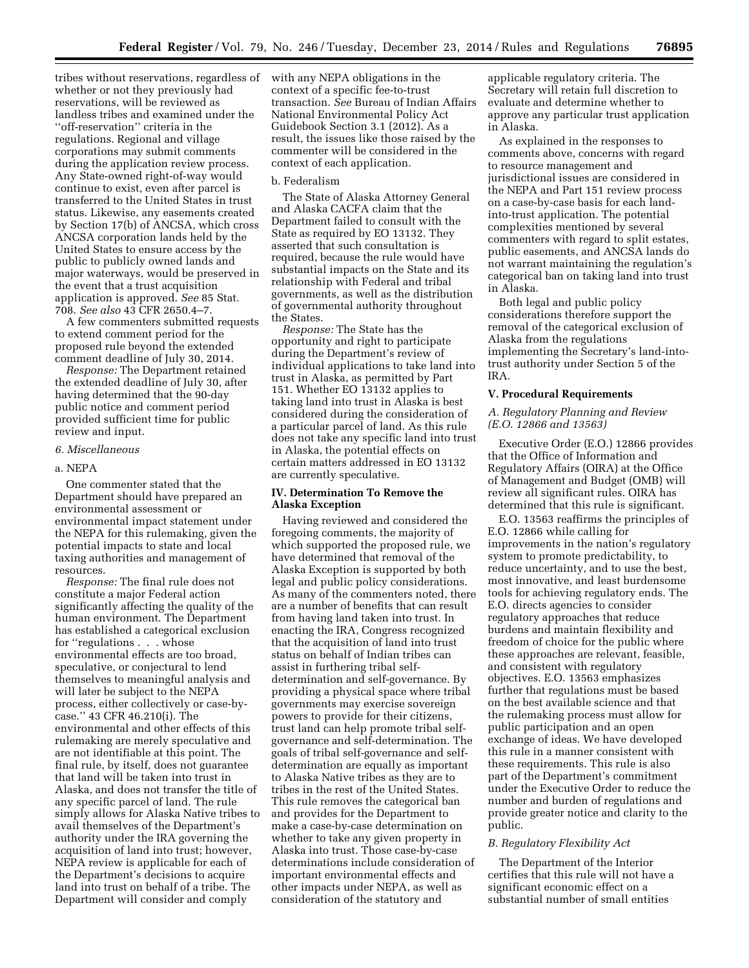tribes without reservations, regardless of whether or not they previously had reservations, will be reviewed as landless tribes and examined under the ''off-reservation'' criteria in the regulations. Regional and village corporations may submit comments during the application review process. Any State-owned right-of-way would continue to exist, even after parcel is transferred to the United States in trust status. Likewise, any easements created by Section 17(b) of ANCSA, which cross ANCSA corporation lands held by the United States to ensure access by the public to publicly owned lands and major waterways, would be preserved in the event that a trust acquisition application is approved. *See* 85 Stat. 708. *See also* 43 CFR 2650.4–7.

A few commenters submitted requests to extend comment period for the proposed rule beyond the extended comment deadline of July 30, 2014.

*Response:* The Department retained the extended deadline of July 30, after having determined that the 90-day public notice and comment period provided sufficient time for public review and input.

#### *6. Miscellaneous*

## a. NEPA

One commenter stated that the Department should have prepared an environmental assessment or environmental impact statement under the NEPA for this rulemaking, given the potential impacts to state and local taxing authorities and management of resources.

*Response:* The final rule does not constitute a major Federal action significantly affecting the quality of the human environment. The Department has established a categorical exclusion for ''regulations . . . whose environmental effects are too broad, speculative, or conjectural to lend themselves to meaningful analysis and will later be subject to the NEPA process, either collectively or case-bycase.'' 43 CFR 46.210(i). The environmental and other effects of this rulemaking are merely speculative and are not identifiable at this point. The final rule, by itself, does not guarantee that land will be taken into trust in Alaska, and does not transfer the title of any specific parcel of land. The rule simply allows for Alaska Native tribes to avail themselves of the Department's authority under the IRA governing the acquisition of land into trust; however, NEPA review is applicable for each of the Department's decisions to acquire land into trust on behalf of a tribe. The Department will consider and comply

with any NEPA obligations in the context of a specific fee-to-trust transaction. *See* Bureau of Indian Affairs National Environmental Policy Act Guidebook Section 3.1 (2012). As a result, the issues like those raised by the commenter will be considered in the context of each application.

#### b. Federalism

The State of Alaska Attorney General and Alaska CACFA claim that the Department failed to consult with the State as required by EO 13132. They asserted that such consultation is required, because the rule would have substantial impacts on the State and its relationship with Federal and tribal governments, as well as the distribution of governmental authority throughout the States.

*Response:* The State has the opportunity and right to participate during the Department's review of individual applications to take land into trust in Alaska, as permitted by Part 151. Whether EO 13132 applies to taking land into trust in Alaska is best considered during the consideration of a particular parcel of land. As this rule does not take any specific land into trust in Alaska, the potential effects on certain matters addressed in EO 13132 are currently speculative.

### **IV. Determination To Remove the Alaska Exception**

Having reviewed and considered the foregoing comments, the majority of which supported the proposed rule, we have determined that removal of the Alaska Exception is supported by both legal and public policy considerations. As many of the commenters noted, there are a number of benefits that can result from having land taken into trust. In enacting the IRA, Congress recognized that the acquisition of land into trust status on behalf of Indian tribes can assist in furthering tribal selfdetermination and self-governance. By providing a physical space where tribal governments may exercise sovereign powers to provide for their citizens, trust land can help promote tribal selfgovernance and self-determination. The goals of tribal self-governance and selfdetermination are equally as important to Alaska Native tribes as they are to tribes in the rest of the United States. This rule removes the categorical ban and provides for the Department to make a case-by-case determination on whether to take any given property in Alaska into trust. Those case-by-case determinations include consideration of important environmental effects and other impacts under NEPA, as well as consideration of the statutory and

applicable regulatory criteria. The Secretary will retain full discretion to evaluate and determine whether to approve any particular trust application in Alaska.

As explained in the responses to comments above, concerns with regard to resource management and jurisdictional issues are considered in the NEPA and Part 151 review process on a case-by-case basis for each landinto-trust application. The potential complexities mentioned by several commenters with regard to split estates, public easements, and ANCSA lands do not warrant maintaining the regulation's categorical ban on taking land into trust in Alaska.

Both legal and public policy considerations therefore support the removal of the categorical exclusion of Alaska from the regulations implementing the Secretary's land-intotrust authority under Section 5 of the IRA.

### **V. Procedural Requirements**

## *A. Regulatory Planning and Review (E.O. 12866 and 13563)*

Executive Order (E.O.) 12866 provides that the Office of Information and Regulatory Affairs (OIRA) at the Office of Management and Budget (OMB) will review all significant rules. OIRA has determined that this rule is significant.

E.O. 13563 reaffirms the principles of E.O. 12866 while calling for improvements in the nation's regulatory system to promote predictability, to reduce uncertainty, and to use the best, most innovative, and least burdensome tools for achieving regulatory ends. The E.O. directs agencies to consider regulatory approaches that reduce burdens and maintain flexibility and freedom of choice for the public where these approaches are relevant, feasible, and consistent with regulatory objectives. E.O. 13563 emphasizes further that regulations must be based on the best available science and that the rulemaking process must allow for public participation and an open exchange of ideas. We have developed this rule in a manner consistent with these requirements. This rule is also part of the Department's commitment under the Executive Order to reduce the number and burden of regulations and provide greater notice and clarity to the public.

#### *B. Regulatory Flexibility Act*

The Department of the Interior certifies that this rule will not have a significant economic effect on a substantial number of small entities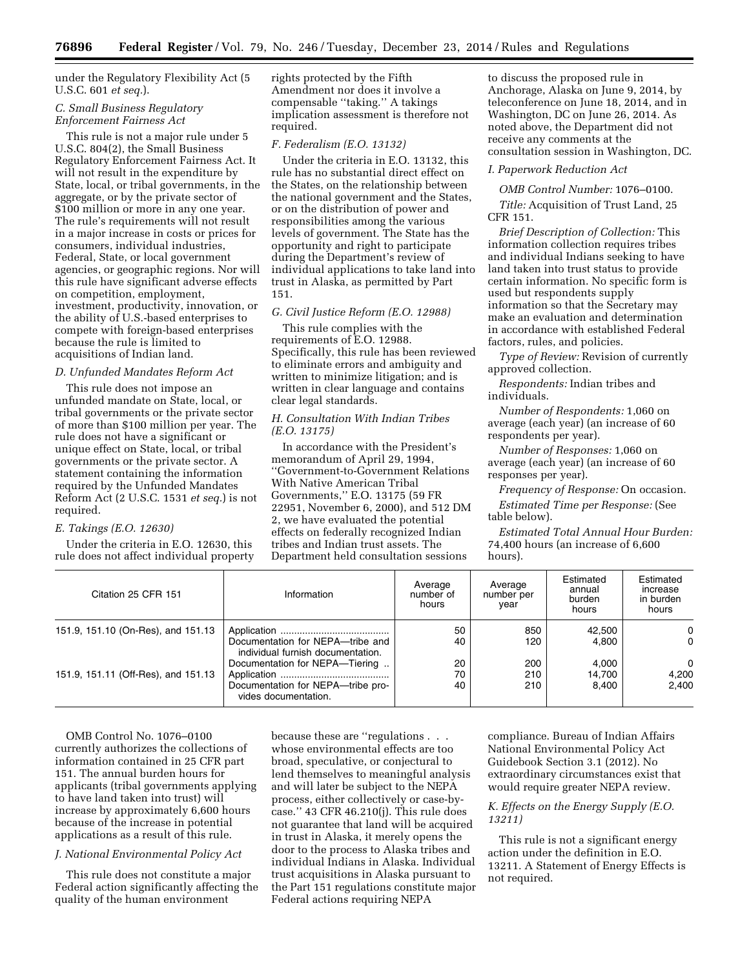under the Regulatory Flexibility Act (5 U.S.C. 601 *et seq.*).

### *C. Small Business Regulatory Enforcement Fairness Act*

This rule is not a major rule under 5 U.S.C. 804(2), the Small Business Regulatory Enforcement Fairness Act. It will not result in the expenditure by State, local, or tribal governments, in the aggregate, or by the private sector of \$100 million or more in any one year. The rule's requirements will not result in a major increase in costs or prices for consumers, individual industries, Federal, State, or local government agencies, or geographic regions. Nor will this rule have significant adverse effects on competition, employment, investment, productivity, innovation, or the ability of U.S.-based enterprises to compete with foreign-based enterprises because the rule is limited to acquisitions of Indian land.

#### *D. Unfunded Mandates Reform Act*

This rule does not impose an unfunded mandate on State, local, or tribal governments or the private sector of more than \$100 million per year. The rule does not have a significant or unique effect on State, local, or tribal governments or the private sector. A statement containing the information required by the Unfunded Mandates Reform Act (2 U.S.C. 1531 *et seq.*) is not required.

### *E. Takings (E.O. 12630)*

Under the criteria in E.O. 12630, this rule does not affect individual property rights protected by the Fifth Amendment nor does it involve a compensable ''taking.'' A takings implication assessment is therefore not required.

### *F. Federalism (E.O. 13132)*

Under the criteria in E.O. 13132, this rule has no substantial direct effect on the States, on the relationship between the national government and the States, or on the distribution of power and responsibilities among the various levels of government. The State has the opportunity and right to participate during the Department's review of individual applications to take land into trust in Alaska, as permitted by Part 151.

### *G. Civil Justice Reform (E.O. 12988)*

This rule complies with the requirements of E.O. 12988. Specifically, this rule has been reviewed to eliminate errors and ambiguity and written to minimize litigation; and is written in clear language and contains clear legal standards.

## *H. Consultation With Indian Tribes (E.O. 13175)*

In accordance with the President's memorandum of April 29, 1994, ''Government-to-Government Relations With Native American Tribal Governments,'' E.O. 13175 (59 FR 22951, November 6, 2000), and 512 DM 2, we have evaluated the potential effects on federally recognized Indian tribes and Indian trust assets. The Department held consultation sessions

to discuss the proposed rule in Anchorage, Alaska on June 9, 2014, by teleconference on June 18, 2014, and in Washington, DC on June 26, 2014. As noted above, the Department did not receive any comments at the consultation session in Washington, DC.

#### *I. Paperwork Reduction Act*

*OMB Control Number:* 1076–0100. *Title:* Acquisition of Trust Land, 25 CFR 151.

*Brief Description of Collection:* This information collection requires tribes and individual Indians seeking to have land taken into trust status to provide certain information. No specific form is used but respondents supply information so that the Secretary may make an evaluation and determination in accordance with established Federal factors, rules, and policies.

*Type of Review:* Revision of currently approved collection.

*Respondents:* Indian tribes and individuals.

*Number of Respondents:* 1,060 on average (each year) (an increase of 60 respondents per year).

*Number of Responses:* 1,060 on average (each year) (an increase of 60 responses per year).

*Frequency of Response:* On occasion. *Estimated Time per Response:* (See table below).

*Estimated Total Annual Hour Burden:*  74,400 hours (an increase of 6,600 hours).

| Citation 25 CFR 151                 | Information                                                                                 | Average<br>number of<br>hours | Average<br>number per<br>year | Estimated<br>annual<br>burden<br>hours | Estimated<br>increase<br>in burden<br>hours |
|-------------------------------------|---------------------------------------------------------------------------------------------|-------------------------------|-------------------------------|----------------------------------------|---------------------------------------------|
| 151.9, 151.10 (On-Res), and 151.13  | Documentation for NEPA-tribe and<br>individual furnish documentation.                       | 50<br>40                      | 850<br>120                    | 42,500<br>4.800                        | 0<br>$\mathbf{0}$                           |
| 151.9, 151.11 (Off-Res), and 151.13 | Documentation for NEPA-Tiering<br>Documentation for NEPA-tribe pro-<br>vides documentation. | 20<br>70<br>40                | 200<br>210<br>210             | 4,000<br>14,700<br>8.400               | $\Omega$<br>4,200<br>2.400                  |

OMB Control No. 1076–0100 currently authorizes the collections of information contained in 25 CFR part 151. The annual burden hours for applicants (tribal governments applying to have land taken into trust) will increase by approximately 6,600 hours because of the increase in potential applications as a result of this rule.

## *J. National Environmental Policy Act*

This rule does not constitute a major Federal action significantly affecting the quality of the human environment

because these are ''regulations . . . whose environmental effects are too broad, speculative, or conjectural to lend themselves to meaningful analysis and will later be subject to the NEPA process, either collectively or case-bycase.'' 43 CFR 46.210(j). This rule does not guarantee that land will be acquired in trust in Alaska, it merely opens the door to the process to Alaska tribes and individual Indians in Alaska. Individual trust acquisitions in Alaska pursuant to the Part 151 regulations constitute major Federal actions requiring NEPA

compliance. Bureau of Indian Affairs National Environmental Policy Act Guidebook Section 3.1 (2012). No extraordinary circumstances exist that would require greater NEPA review.

## *K. Effects on the Energy Supply (E.O. 13211)*

This rule is not a significant energy action under the definition in E.O. 13211. A Statement of Energy Effects is not required.